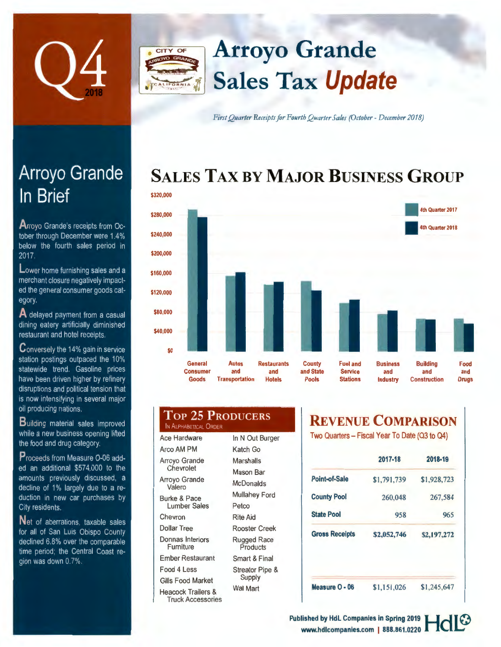

## **Arroyo Grande**  CITY OF **Sales Tax Update**

First Quarter Receipts for Fourth Quarter Sales (October - December 2018)

# **SALES TAX BY MAJOR BUSINESS GROUP**



| <b>TOP 25 PRODUCERS</b><br>IN ALPHABETICAL ORDER |                      |
|--------------------------------------------------|----------------------|
| <b>Ace Hardware</b>                              | In N Out Burger      |
| Arco AM PM                                       | Katch Go             |
| Arroyo Grande<br>Chevrolet                       | Marshalls            |
|                                                  | <b>Mason Bar</b>     |
| Arroyo Grande<br>Valero                          | <b>McDonalds</b>     |
| <b>Burke &amp; Pace</b><br><b>Lumber Sales</b>   | <b>Mullahey Ford</b> |
|                                                  | Petro                |

# **EVENUE COMPARISON**

o Quarters - Fiscal Year To Date (Q3 to Q4)

| 2017-18     | 2018-19     |
|-------------|-------------|
| \$1,791,739 | \$1,928,723 |
| 260,048     | 267,584     |
| 958         | 965         |
| \$2,052,746 | \$2,197,272 |
|             |             |
|             |             |

**Measure O** • **06** 

\$1 ,151 ,026 \$1,245,647

Arroyo Grande In Brief

**A rroyo** Grande's receipts from October through December were 1.4% below the fourth sales period in 2017.

Lower home furnishing sales and a merchant closure negatively impacted the general consumer goods category.

**A** delayed payment from a casual dining eatery artificially diminished restaurant and hotel receipts.

Conversely the 14% gain in service station postings outpaced the 10% statewide trend. Gasoline prices have been driven higher by refinery disruptions and political tension that is now intensifying in several major oil producing nations.

**B uilding** material sales improved while a new business opening lifted the food and drug category.

Proceeds from Measure O-06 added an additional \$574.000 to the amounts previously discussed, a decline of 1% largely due to a reduction in new car purchases by City residents.

**Net** of aberrations. taxable sales for all of San Luis Obispo County declined 6.8% over the comparable time period: the Central Coast region was down 0.7%.

### Lumber Sales Chevron Dollar Tree Petco Rite Aid

Donnas Interiors Furniture Ember Restaurant Food 4 Less Gills Food Market Heacock Trailers & Truck Accessories Rooster Creek Rugged Race Products Smart & Final Streator Pipe & Supply

Wal Mart

**Published by HdL Companies in Spring 2019** www.hdlcompanies.com I 888.861.0220 **\_L.:;**